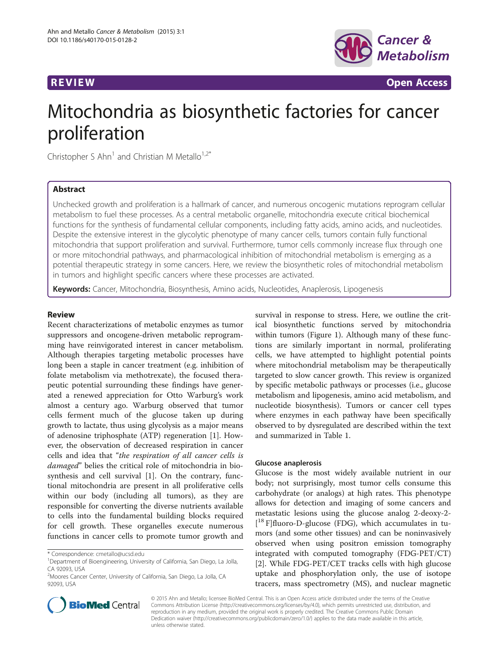

**REVIEW CONSTRUCTION CONSTRUCTION CONSTRUCTS** 

# Mitochondria as biosynthetic factories for cancer proliferation

Christopher S Ahn<sup>1</sup> and Christian M Metallo<sup>1,2\*</sup>

# Abstract

Unchecked growth and proliferation is a hallmark of cancer, and numerous oncogenic mutations reprogram cellular metabolism to fuel these processes. As a central metabolic organelle, mitochondria execute critical biochemical functions for the synthesis of fundamental cellular components, including fatty acids, amino acids, and nucleotides. Despite the extensive interest in the glycolytic phenotype of many cancer cells, tumors contain fully functional mitochondria that support proliferation and survival. Furthermore, tumor cells commonly increase flux through one or more mitochondrial pathways, and pharmacological inhibition of mitochondrial metabolism is emerging as a potential therapeutic strategy in some cancers. Here, we review the biosynthetic roles of mitochondrial metabolism in tumors and highlight specific cancers where these processes are activated.

Keywords: Cancer, Mitochondria, Biosynthesis, Amino acids, Nucleotides, Anaplerosis, Lipogenesis

# Review

Recent characterizations of metabolic enzymes as tumor suppressors and oncogene-driven metabolic reprogramming have reinvigorated interest in cancer metabolism. Although therapies targeting metabolic processes have long been a staple in cancer treatment (e.g. inhibition of folate metabolism via methotrexate), the focused therapeutic potential surrounding these findings have generated a renewed appreciation for Otto Warburg's work almost a century ago. Warburg observed that tumor cells ferment much of the glucose taken up during growth to lactate, thus using glycolysis as a major means of adenosine triphosphate (ATP) regeneration [[1\]](#page-7-0). However, the observation of decreased respiration in cancer cells and idea that "the respiration of all cancer cells is damaged" belies the critical role of mitochondria in biosynthesis and cell survival [[1\]](#page-7-0). On the contrary, functional mitochondria are present in all proliferative cells within our body (including all tumors), as they are responsible for converting the diverse nutrients available to cells into the fundamental building blocks required for cell growth. These organelles execute numerous functions in cancer cells to promote tumor growth and

\* Correspondence: [cmetallo@ucsd.edu](mailto:cmetallo@ucsd.edu) <sup>1</sup>



### Glucose anaplerosis

Glucose is the most widely available nutrient in our body; not surprisingly, most tumor cells consume this carbohydrate (or analogs) at high rates. This phenotype allows for detection and imaging of some cancers and metastatic lesions using the glucose analog 2-deoxy-2- [ <sup>18</sup> F]fluoro-D-glucose (FDG), which accumulates in tumors (and some other tissues) and can be noninvasively observed when using positron emission tomography integrated with computed tomography (FDG-PET/CT) [[2\]](#page-7-0). While FDG-PET/CET tracks cells with high glucose uptake and phosphorylation only, the use of isotope tracers, mass spectrometry (MS), and nuclear magnetic



© 2015 Ahn and Metallo; licensee BioMed Central. This is an Open Access article distributed under the terms of the Creative Commons Attribution License [\(http://creativecommons.org/licenses/by/4.0\)](http://creativecommons.org/licenses/by/4.0), which permits unrestricted use, distribution, and reproduction in any medium, provided the original work is properly credited. The Creative Commons Public Domain Dedication waiver [\(http://creativecommons.org/publicdomain/zero/1.0/](http://creativecommons.org/publicdomain/zero/1.0/)) applies to the data made available in this article, unless otherwise stated.

Department of Bioengineering, University of California, San Diego, La Jolla, CA 92093, USA

<sup>&</sup>lt;sup>2</sup>Moores Cancer Center, University of California, San Diego, La Jolla, CA 92093, USA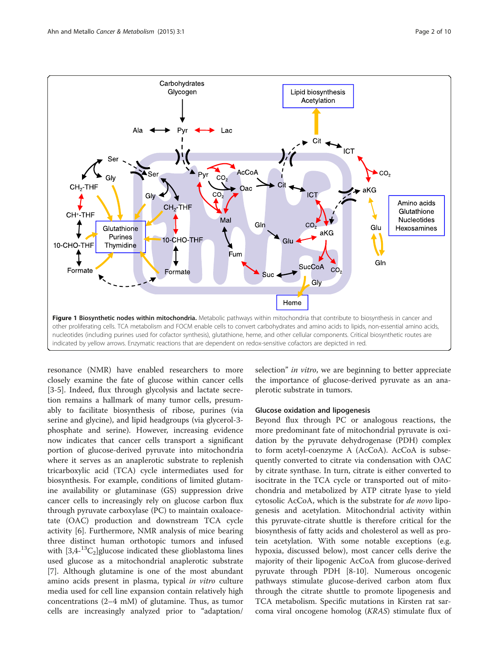

<span id="page-1-0"></span>

resonance (NMR) have enabled researchers to more closely examine the fate of glucose within cancer cells [[3-5](#page-7-0)]. Indeed, flux through glycolysis and lactate secretion remains a hallmark of many tumor cells, presumably to facilitate biosynthesis of ribose, purines (via serine and glycine), and lipid headgroups (via glycerol-3 phosphate and serine). However, increasing evidence now indicates that cancer cells transport a significant portion of glucose-derived pyruvate into mitochondria where it serves as an anaplerotic substrate to replenish tricarboxylic acid (TCA) cycle intermediates used for biosynthesis. For example, conditions of limited glutamine availability or glutaminase (GS) suppression drive cancer cells to increasingly rely on glucose carbon flux through pyruvate carboxylase (PC) to maintain oxaloacetate (OAC) production and downstream TCA cycle activity [[6\]](#page-7-0). Furthermore, NMR analysis of mice bearing three distinct human orthotopic tumors and infused with  $[3,4^{-13}C_2]$ glucose indicated these glioblastoma lines used glucose as a mitochondrial anaplerotic substrate [[7\]](#page-7-0). Although glutamine is one of the most abundant amino acids present in plasma, typical in vitro culture media used for cell line expansion contain relatively high concentrations (2–4 mM) of glutamine. Thus, as tumor cells are increasingly analyzed prior to "adaptation/ selection" *in vitro*, we are beginning to better appreciate the importance of glucose-derived pyruvate as an anaplerotic substrate in tumors.

# Glucose oxidation and lipogenesis

Beyond flux through PC or analogous reactions, the more predominant fate of mitochondrial pyruvate is oxidation by the pyruvate dehydrogenase (PDH) complex to form acetyl-coenzyme A (AcCoA). AcCoA is subsequently converted to citrate via condensation with OAC by citrate synthase. In turn, citrate is either converted to isocitrate in the TCA cycle or transported out of mitochondria and metabolized by ATP citrate lyase to yield cytosolic AcCoA, which is the substrate for *de novo* lipogenesis and acetylation. Mitochondrial activity within this pyruvate-citrate shuttle is therefore critical for the biosynthesis of fatty acids and cholesterol as well as protein acetylation. With some notable exceptions (e.g. hypoxia, discussed below), most cancer cells derive the majority of their lipogenic AcCoA from glucose-derived pyruvate through PDH [\[8](#page-7-0)-[10\]](#page-7-0). Numerous oncogenic pathways stimulate glucose-derived carbon atom flux through the citrate shuttle to promote lipogenesis and TCA metabolism. Specific mutations in Kirsten rat sarcoma viral oncogene homolog (KRAS) stimulate flux of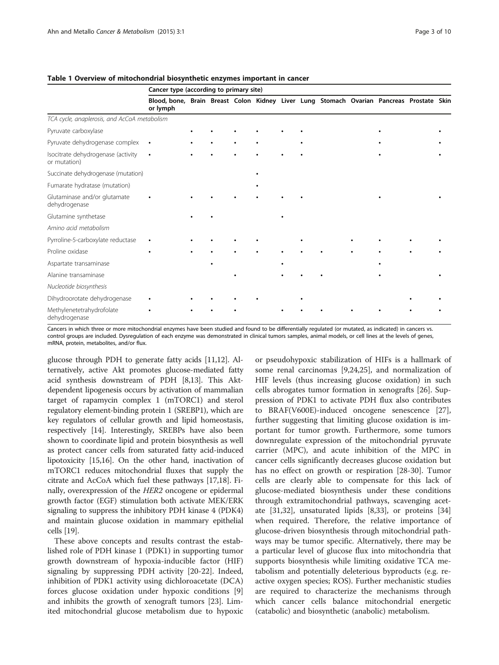|                                                    | Cancer type (according to primary site)                                                              |  |  |  |  |  |  |  |  |  |  |  |
|----------------------------------------------------|------------------------------------------------------------------------------------------------------|--|--|--|--|--|--|--|--|--|--|--|
|                                                    | Blood, bone, Brain Breast Colon Kidney Liver Lung Stomach Ovarian Pancreas Prostate Skin<br>or lymph |  |  |  |  |  |  |  |  |  |  |  |
| TCA cycle, anaplerosis, and AcCoA metabolism       |                                                                                                      |  |  |  |  |  |  |  |  |  |  |  |
| Pyruvate carboxylase                               |                                                                                                      |  |  |  |  |  |  |  |  |  |  |  |
| Pyruvate dehydrogenase complex                     | $\bullet$                                                                                            |  |  |  |  |  |  |  |  |  |  |  |
| Isocitrate dehydrogenase (activity<br>or mutation) | $\bullet$                                                                                            |  |  |  |  |  |  |  |  |  |  |  |
| Succinate dehydrogenase (mutation)                 |                                                                                                      |  |  |  |  |  |  |  |  |  |  |  |
| Fumarate hydratase (mutation)                      |                                                                                                      |  |  |  |  |  |  |  |  |  |  |  |
| Glutaminase and/or glutamate<br>dehydrogenase      |                                                                                                      |  |  |  |  |  |  |  |  |  |  |  |
| Glutamine synthetase                               |                                                                                                      |  |  |  |  |  |  |  |  |  |  |  |
| Amino acid metabolism                              |                                                                                                      |  |  |  |  |  |  |  |  |  |  |  |
| Pyrroline-5-carboxylate reductase                  |                                                                                                      |  |  |  |  |  |  |  |  |  |  |  |
| Proline oxidase                                    |                                                                                                      |  |  |  |  |  |  |  |  |  |  |  |
| Aspartate transaminase                             |                                                                                                      |  |  |  |  |  |  |  |  |  |  |  |
| Alanine transaminase                               |                                                                                                      |  |  |  |  |  |  |  |  |  |  |  |
| Nucleotide biosynthesis                            |                                                                                                      |  |  |  |  |  |  |  |  |  |  |  |
| Dihydroorotate dehydrogenase                       |                                                                                                      |  |  |  |  |  |  |  |  |  |  |  |
| Methylenetetrahydrofolate<br>dehydrogenase         |                                                                                                      |  |  |  |  |  |  |  |  |  |  |  |

<span id="page-2-0"></span>Table 1 Overview of mitochondrial biosynthetic enzymes important in cancer

Cancers in which three or more mitochondrial enzymes have been studied and found to be differentially regulated (or mutated, as indicated) in cancers vs. control groups are included. Dysregulation of each enzyme was demonstrated in clinical tumors samples, animal models, or cell lines at the levels of genes, mRNA, protein, metabolites, and/or flux.

glucose through PDH to generate fatty acids [\[11,12\]](#page-7-0). Alternatively, active Akt promotes glucose-mediated fatty acid synthesis downstream of PDH [\[8,13\]](#page-7-0). This Aktdependent lipogenesis occurs by activation of mammalian target of rapamycin complex 1 (mTORC1) and sterol regulatory element-binding protein 1 (SREBP1), which are key regulators of cellular growth and lipid homeostasis, respectively [[14](#page-7-0)]. Interestingly, SREBPs have also been shown to coordinate lipid and protein biosynthesis as well as protect cancer cells from saturated fatty acid-induced lipotoxicity [\[15,16\]](#page-7-0). On the other hand, inactivation of mTORC1 reduces mitochondrial fluxes that supply the citrate and AcCoA which fuel these pathways [[17,18\]](#page-7-0). Finally, overexpression of the HER2 oncogene or epidermal growth factor (EGF) stimulation both activate MEK/ERK signaling to suppress the inhibitory PDH kinase 4 (PDK4) and maintain glucose oxidation in mammary epithelial cells [[19](#page-7-0)].

These above concepts and results contrast the established role of PDH kinase 1 (PDK1) in supporting tumor growth downstream of hypoxia-inducible factor (HIF) signaling by suppressing PDH activity [\[20-22](#page-8-0)]. Indeed, inhibition of PDK1 activity using dichloroacetate (DCA) forces glucose oxidation under hypoxic conditions [\[9](#page-7-0)] and inhibits the growth of xenograft tumors [\[23](#page-8-0)]. Limited mitochondrial glucose metabolism due to hypoxic

or pseudohypoxic stabilization of HIFs is a hallmark of some renal carcinomas [\[9](#page-7-0)[,24,25](#page-8-0)], and normalization of HIF levels (thus increasing glucose oxidation) in such cells abrogates tumor formation in xenografts [[26\]](#page-8-0). Suppression of PDK1 to activate PDH flux also contributes to BRAF(V600E)-induced oncogene senescence [\[27](#page-8-0)], further suggesting that limiting glucose oxidation is important for tumor growth. Furthermore, some tumors downregulate expression of the mitochondrial pyruvate carrier (MPC), and acute inhibition of the MPC in cancer cells significantly decreases glucose oxidation but has no effect on growth or respiration [[28-30](#page-8-0)]. Tumor cells are clearly able to compensate for this lack of glucose-mediated biosynthesis under these conditions through extramitochondrial pathways, scavenging acetate [\[31,32\]](#page-8-0), unsaturated lipids [[8,](#page-7-0)[33\]](#page-8-0), or proteins [[34](#page-8-0)] when required. Therefore, the relative importance of glucose-driven biosynthesis through mitochondrial pathways may be tumor specific. Alternatively, there may be a particular level of glucose flux into mitochondria that supports biosynthesis while limiting oxidative TCA metabolism and potentially deleterious byproducts (e.g. reactive oxygen species; ROS). Further mechanistic studies are required to characterize the mechanisms through which cancer cells balance mitochondrial energetic (catabolic) and biosynthetic (anabolic) metabolism.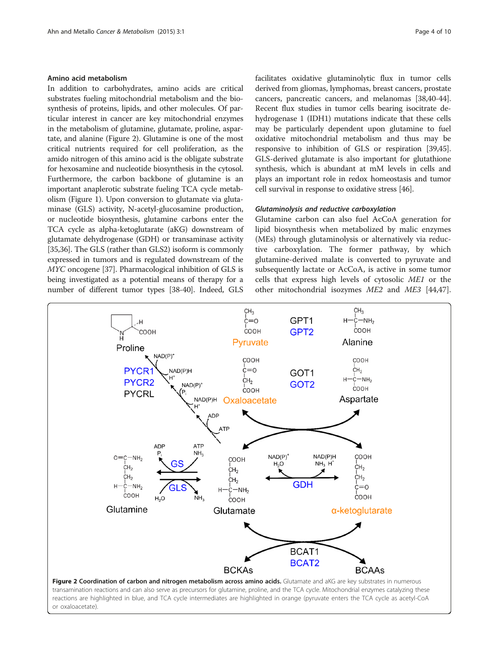### <span id="page-3-0"></span>Amino acid metabolism

In addition to carbohydrates, amino acids are critical substrates fueling mitochondrial metabolism and the biosynthesis of proteins, lipids, and other molecules. Of particular interest in cancer are key mitochondrial enzymes in the metabolism of glutamine, glutamate, proline, aspartate, and alanine (Figure 2). Glutamine is one of the most critical nutrients required for cell proliferation, as the amido nitrogen of this amino acid is the obligate substrate for hexosamine and nucleotide biosynthesis in the cytosol. Furthermore, the carbon backbone of glutamine is an important anaplerotic substrate fueling TCA cycle metabolism (Figure [1](#page-1-0)). Upon conversion to glutamate via glutaminase (GLS) activity, N-acetyl-glucosamine production, or nucleotide biosynthesis, glutamine carbons enter the TCA cycle as alpha-ketoglutarate (aKG) downstream of glutamate dehydrogenase (GDH) or transaminase activity [[35,36](#page-8-0)]. The GLS (rather than GLS2) isoform is commonly expressed in tumors and is regulated downstream of the MYC oncogene [\[37\]](#page-8-0). Pharmacological inhibition of GLS is being investigated as a potential means of therapy for a number of different tumor types [\[38-40\]](#page-8-0). Indeed, GLS facilitates oxidative glutaminolytic flux in tumor cells derived from gliomas, lymphomas, breast cancers, prostate cancers, pancreatic cancers, and melanomas [\[38,40](#page-8-0)-[44](#page-8-0)]. Recent flux studies in tumor cells bearing isocitrate dehydrogenase 1 (IDH1) mutations indicate that these cells may be particularly dependent upon glutamine to fuel oxidative mitochondrial metabolism and thus may be responsive to inhibition of GLS or respiration [\[39,45](#page-8-0)]. GLS-derived glutamate is also important for glutathione synthesis, which is abundant at mM levels in cells and plays an important role in redox homeostasis and tumor cell survival in response to oxidative stress [\[46\]](#page-8-0).

# Glutaminolysis and reductive carboxylation

Glutamine carbon can also fuel AcCoA generation for lipid biosynthesis when metabolized by malic enzymes (MEs) through glutaminolysis or alternatively via reductive carboxylation. The former pathway, by which glutamine-derived malate is converted to pyruvate and subsequently lactate or AcCoA, is active in some tumor cells that express high levels of cytosolic ME1 or the other mitochondrial isozymes ME2 and ME3 [\[44,47](#page-8-0)].

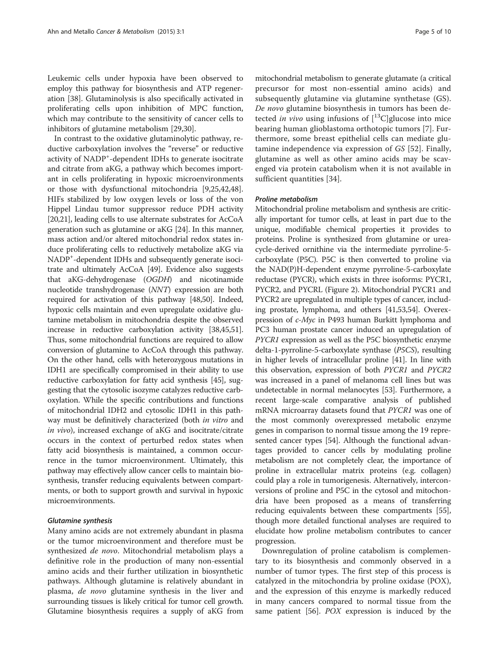Leukemic cells under hypoxia have been observed to employ this pathway for biosynthesis and ATP regeneration [[38\]](#page-8-0). Glutaminolysis is also specifically activated in proliferating cells upon inhibition of MPC function, which may contribute to the sensitivity of cancer cells to inhibitors of glutamine metabolism [\[29,30\]](#page-8-0).

In contrast to the oxidative glutaminolytic pathway, reductive carboxylation involves the "reverse" or reductive activity of NADP<sup>+</sup>-dependent IDHs to generate isocitrate and citrate from aKG, a pathway which becomes important in cells proliferating in hypoxic microenvironments or those with dysfunctional mitochondria [\[9](#page-7-0)[,25,42,48](#page-8-0)]. HIFs stabilized by low oxygen levels or loss of the von Hippel Lindau tumor suppressor reduce PDH activity [[20,21](#page-8-0)], leading cells to use alternate substrates for AcCoA generation such as glutamine or aKG [\[24\]](#page-8-0). In this manner, mass action and/or altered mitochondrial redox states induce proliferating cells to reductively metabolize aKG via NADP<sup>+</sup>-dependent IDHs and subsequently generate isocitrate and ultimately AcCoA [\[49\]](#page-8-0). Evidence also suggests that aKG-dehydrogenase (OGDH) and nicotinamide nucleotide transhydrogenase (NNT) expression are both required for activation of this pathway [[48,50\]](#page-8-0). Indeed, hypoxic cells maintain and even upregulate oxidative glutamine metabolism in mitochondria despite the observed increase in reductive carboxylation activity [\[38,45,51](#page-8-0)]. Thus, some mitochondrial functions are required to allow conversion of glutamine to AcCoA through this pathway. On the other hand, cells with heterozygous mutations in IDH1 are specifically compromised in their ability to use reductive carboxylation for fatty acid synthesis [[45](#page-8-0)], suggesting that the cytosolic isozyme catalyzes reductive carboxylation. While the specific contributions and functions of mitochondrial IDH2 and cytosolic IDH1 in this pathway must be definitively characterized (both in vitro and in vivo), increased exchange of aKG and isocitrate/citrate occurs in the context of perturbed redox states when fatty acid biosynthesis is maintained, a common occurrence in the tumor microenvironment. Ultimately, this pathway may effectively allow cancer cells to maintain biosynthesis, transfer reducing equivalents between compartments, or both to support growth and survival in hypoxic microenvironments.

# Glutamine synthesis

Many amino acids are not extremely abundant in plasma or the tumor microenvironment and therefore must be synthesized de novo. Mitochondrial metabolism plays a definitive role in the production of many non-essential amino acids and their further utilization in biosynthetic pathways. Although glutamine is relatively abundant in plasma, de novo glutamine synthesis in the liver and surrounding tissues is likely critical for tumor cell growth. Glutamine biosynthesis requires a supply of aKG from

mitochondrial metabolism to generate glutamate (a critical precursor for most non-essential amino acids) and subsequently glutamine via glutamine synthetase (GS). De novo glutamine biosynthesis in tumors has been detected in vivo using infusions of  $[^{13}C]$ glucose into mice bearing human glioblastoma orthotopic tumors [[7\]](#page-7-0). Furthermore, some breast epithelial cells can mediate glutamine independence via expression of GS [[52\]](#page-8-0). Finally, glutamine as well as other amino acids may be scavenged via protein catabolism when it is not available in sufficient quantities [[34\]](#page-8-0).

# Proline metabolism

Mitochondrial proline metabolism and synthesis are critically important for tumor cells, at least in part due to the unique, modifiable chemical properties it provides to proteins. Proline is synthesized from glutamine or ureacycle-derived ornithine via the intermediate pyrroline-5 carboxylate (P5C). P5C is then converted to proline via the NAD(P)H-dependent enzyme pyrroline-5-carboxylate reductase (PYCR), which exists in three isoforms: PYCR1, PYCR2, and PYCRL (Figure [2](#page-3-0)). Mitochondrial PYCR1 and PYCR2 are upregulated in multiple types of cancer, including prostate, lymphoma, and others [\[41,53](#page-8-0),[54](#page-8-0)]. Overexpression of c-Myc in P493 human Burkitt lymphoma and PC3 human prostate cancer induced an upregulation of PYCR1 expression as well as the P5C biosynthetic enzyme delta-1-pyrroline-5-carboxylate synthase (P5CS), resulting in higher levels of intracellular proline [\[41\]](#page-8-0). In line with this observation, expression of both PYCR1 and PYCR2 was increased in a panel of melanoma cell lines but was undetectable in normal melanocytes [\[53\]](#page-8-0). Furthermore, a recent large-scale comparative analysis of published mRNA microarray datasets found that PYCR1 was one of the most commonly overexpressed metabolic enzyme genes in comparison to normal tissue among the 19 represented cancer types [\[54](#page-8-0)]. Although the functional advantages provided to cancer cells by modulating proline metabolism are not completely clear, the importance of proline in extracellular matrix proteins (e.g. collagen) could play a role in tumorigenesis. Alternatively, interconversions of proline and P5C in the cytosol and mitochondria have been proposed as a means of transferring reducing equivalents between these compartments [[55](#page-8-0)], though more detailed functional analyses are required to elucidate how proline metabolism contributes to cancer progression.

Downregulation of proline catabolism is complementary to its biosynthesis and commonly observed in a number of tumor types. The first step of this process is catalyzed in the mitochondria by proline oxidase (POX), and the expression of this enzyme is markedly reduced in many cancers compared to normal tissue from the same patient [[56\]](#page-8-0). POX expression is induced by the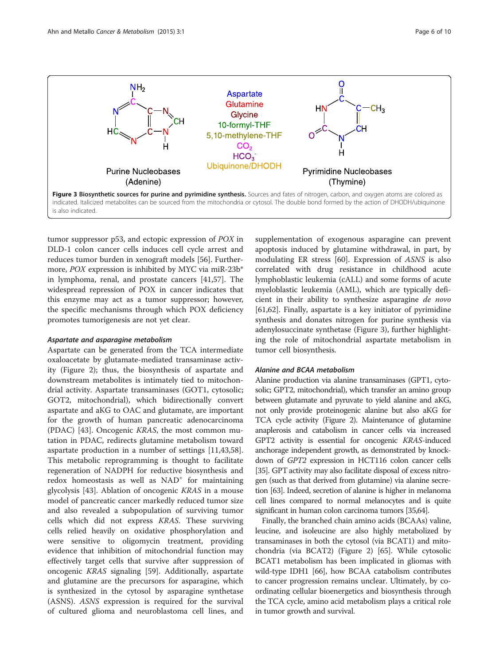

<span id="page-5-0"></span>

tumor suppressor p53, and ectopic expression of POX in DLD-1 colon cancer cells induces cell cycle arrest and reduces tumor burden in xenograft models [[56](#page-8-0)]. Furthermore, POX expression is inhibited by MYC via miR-23b\* in lymphoma, renal, and prostate cancers [[41](#page-8-0),[57](#page-8-0)]. The widespread repression of POX in cancer indicates that this enzyme may act as a tumor suppressor; however, the specific mechanisms through which POX deficiency promotes tumorigenesis are not yet clear.

# Aspartate and asparagine metabolism

Aspartate can be generated from the TCA intermediate oxaloacetate by glutamate-mediated transaminase activity (Figure [2](#page-3-0)); thus, the biosynthesis of aspartate and downstream metabolites is intimately tied to mitochondrial activity. Aspartate transaminases (GOT1, cytosolic; GOT2, mitochondrial), which bidirectionally convert aspartate and aKG to OAC and glutamate, are important for the growth of human pancreatic adenocarcinoma (PDAC) [\[43\]](#page-8-0). Oncogenic KRAS, the most common mutation in PDAC, redirects glutamine metabolism toward aspartate production in a number of settings [\[11](#page-7-0)[,43,58](#page-8-0)]. This metabolic reprogramming is thought to facilitate regeneration of NADPH for reductive biosynthesis and redox homeostasis as well as  $NAD<sup>+</sup>$  for maintaining glycolysis [[43\]](#page-8-0). Ablation of oncogenic KRAS in a mouse model of pancreatic cancer markedly reduced tumor size and also revealed a subpopulation of surviving tumor cells which did not express KRAS. These surviving cells relied heavily on oxidative phosphorylation and were sensitive to oligomycin treatment, providing evidence that inhibition of mitochondrial function may effectively target cells that survive after suppression of oncogenic KRAS signaling [\[59](#page-8-0)]. Additionally, aspartate and glutamine are the precursors for asparagine, which is synthesized in the cytosol by asparagine synthetase (ASNS). ASNS expression is required for the survival of cultured glioma and neuroblastoma cell lines, and

supplementation of exogenous asparagine can prevent apoptosis induced by glutamine withdrawal, in part, by modulating ER stress [[60](#page-8-0)]. Expression of ASNS is also correlated with drug resistance in childhood acute lymphoblastic leukemia (cALL) and some forms of acute myeloblastic leukemia (AML), which are typically deficient in their ability to synthesize asparagine de novo [[61,62\]](#page-8-0). Finally, aspartate is a key initiator of pyrimidine synthesis and donates nitrogen for purine synthesis via adenylosuccinate synthetase (Figure 3), further highlighting the role of mitochondrial aspartate metabolism in tumor cell biosynthesis.

# Alanine and BCAA metabolism

Alanine production via alanine transaminases (GPT1, cytosolic; GPT2, mitochondrial), which transfer an amino group between glutamate and pyruvate to yield alanine and aKG, not only provide proteinogenic alanine but also aKG for TCA cycle activity (Figure [2](#page-3-0)). Maintenance of glutamine anaplerosis and catabolism in cancer cells via increased GPT2 activity is essential for oncogenic KRAS-induced anchorage independent growth, as demonstrated by knockdown of GPT2 expression in HCT116 colon cancer cells [[35\]](#page-8-0). GPT activity may also facilitate disposal of excess nitrogen (such as that derived from glutamine) via alanine secretion [[63](#page-8-0)]. Indeed, secretion of alanine is higher in melanoma cell lines compared to normal melanocytes and is quite significant in human colon carcinoma tumors [\[35,64\]](#page-8-0).

Finally, the branched chain amino acids (BCAAs) valine, leucine, and isoleucine are also highly metabolized by transaminases in both the cytosol (via BCAT1) and mitochondria (via BCAT2) (Figure [2](#page-3-0)) [[65\]](#page-8-0). While cytosolic BCAT1 metabolism has been implicated in gliomas with wild-type IDH1 [[66](#page-9-0)], how BCAA catabolism contributes to cancer progression remains unclear. Ultimately, by coordinating cellular bioenergetics and biosynthesis through the TCA cycle, amino acid metabolism plays a critical role in tumor growth and survival.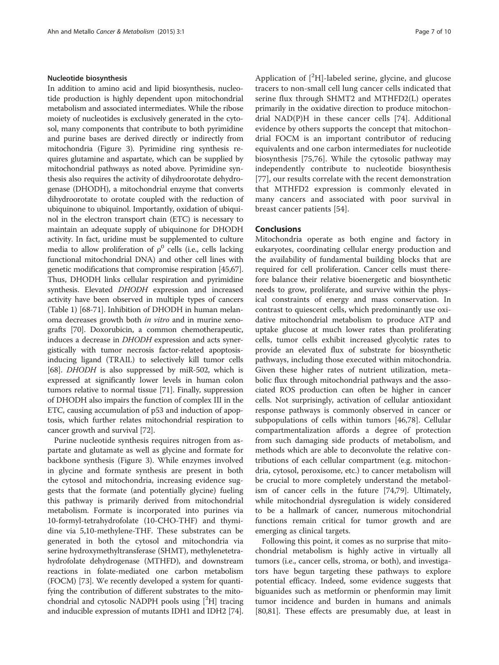#### Nucleotide biosynthesis

In addition to amino acid and lipid biosynthesis, nucleotide production is highly dependent upon mitochondrial metabolism and associated intermediates. While the ribose moiety of nucleotides is exclusively generated in the cytosol, many components that contribute to both pyrimidine and purine bases are derived directly or indirectly from mitochondria (Figure [3](#page-5-0)). Pyrimidine ring synthesis requires glutamine and aspartate, which can be supplied by mitochondrial pathways as noted above. Pyrimidine synthesis also requires the activity of dihydroorotate dehydrogenase (DHODH), a mitochondrial enzyme that converts dihydroorotate to orotate coupled with the reduction of ubiquinone to ubiquinol. Importantly, oxidation of ubiquinol in the electron transport chain (ETC) is necessary to maintain an adequate supply of ubiquinone for DHODH activity. In fact, uridine must be supplemented to culture media to allow proliferation of  $\rho^0$  cells (i.e., cells lacking functional mitochondrial DNA) and other cell lines with genetic modifications that compromise respiration [\[45,](#page-8-0)[67](#page-9-0)]. Thus, DHODH links cellular respiration and pyrimidine synthesis. Elevated DHODH expression and increased activity have been observed in multiple types of cancers (Table [1](#page-2-0)) [\[68-71\]](#page-9-0). Inhibition of DHODH in human melanoma decreases growth both in vitro and in murine xenografts [\[70](#page-9-0)]. Doxorubicin, a common chemotherapeutic, induces a decrease in DHODH expression and acts synergistically with tumor necrosis factor-related apoptosisinducing ligand (TRAIL) to selectively kill tumor cells [[68](#page-9-0)]. *DHODH* is also suppressed by miR-502, which is expressed at significantly lower levels in human colon tumors relative to normal tissue [\[71](#page-9-0)]. Finally, suppression of DHODH also impairs the function of complex III in the ETC, causing accumulation of p53 and induction of apoptosis, which further relates mitochondrial respiration to cancer growth and survival [\[72\]](#page-9-0).

Purine nucleotide synthesis requires nitrogen from aspartate and glutamate as well as glycine and formate for backbone synthesis (Figure [3\)](#page-5-0). While enzymes involved in glycine and formate synthesis are present in both the cytosol and mitochondria, increasing evidence suggests that the formate (and potentially glycine) fueling this pathway is primarily derived from mitochondrial metabolism. Formate is incorporated into purines via 10-formyl-tetrahydrofolate (10-CHO-THF) and thymidine via 5,10-methylene-THF. These substrates can be generated in both the cytosol and mitochondria via serine hydroxymethyltransferase (SHMT), methylenetetrahydrofolate dehydrogenase (MTHFD), and downstream reactions in folate-mediated one carbon metabolism (FOCM) [\[73\]](#page-9-0). We recently developed a system for quantifying the contribution of different substrates to the mitochondrial and cytosolic NADPH pools using  $[^2H]$  tracing and inducible expression of mutants IDH1 and IDH2 [[74](#page-9-0)].

Application of  $[^{2}H]$ -labeled serine, glycine, and glucose tracers to non-small cell lung cancer cells indicated that serine flux through SHMT2 and MTHFD2(L) operates primarily in the oxidative direction to produce mitochondrial NAD(P)H in these cancer cells [[74\]](#page-9-0). Additional evidence by others supports the concept that mitochondrial FOCM is an important contributor of reducing equivalents and one carbon intermediates for nucleotide biosynthesis [[75,76](#page-9-0)]. While the cytosolic pathway may independently contribute to nucleotide biosynthesis [[77](#page-9-0)], our results correlate with the recent demonstration that MTHFD2 expression is commonly elevated in many cancers and associated with poor survival in breast cancer patients [\[54](#page-8-0)].

# Conclusions

Mitochondria operate as both engine and factory in eukaryotes, coordinating cellular energy production and the availability of fundamental building blocks that are required for cell proliferation. Cancer cells must therefore balance their relative bioenergetic and biosynthetic needs to grow, proliferate, and survive within the physical constraints of energy and mass conservation. In contrast to quiescent cells, which predominantly use oxidative mitochondrial metabolism to produce ATP and uptake glucose at much lower rates than proliferating cells, tumor cells exhibit increased glycolytic rates to provide an elevated flux of substrate for biosynthetic pathways, including those executed within mitochondria. Given these higher rates of nutrient utilization, metabolic flux through mitochondrial pathways and the associated ROS production can often be higher in cancer cells. Not surprisingly, activation of cellular antioxidant response pathways is commonly observed in cancer or subpopulations of cells within tumors [[46](#page-8-0),[78](#page-9-0)]. Cellular compartmentalization affords a degree of protection from such damaging side products of metabolism, and methods which are able to deconvolute the relative contributions of each cellular compartment (e.g. mitochondria, cytosol, peroxisome, etc.) to cancer metabolism will be crucial to more completely understand the metabolism of cancer cells in the future [[74,79\]](#page-9-0). Ultimately, while mitochondrial dysregulation is widely considered to be a hallmark of cancer, numerous mitochondrial functions remain critical for tumor growth and are emerging as clinical targets.

Following this point, it comes as no surprise that mitochondrial metabolism is highly active in virtually all tumors (i.e., cancer cells, stroma, or both), and investigators have begun targeting these pathways to explore potential efficacy. Indeed, some evidence suggests that biguanides such as metformin or phenformin may limit tumor incidence and burden in humans and animals [[80,81\]](#page-9-0). These effects are presumably due, at least in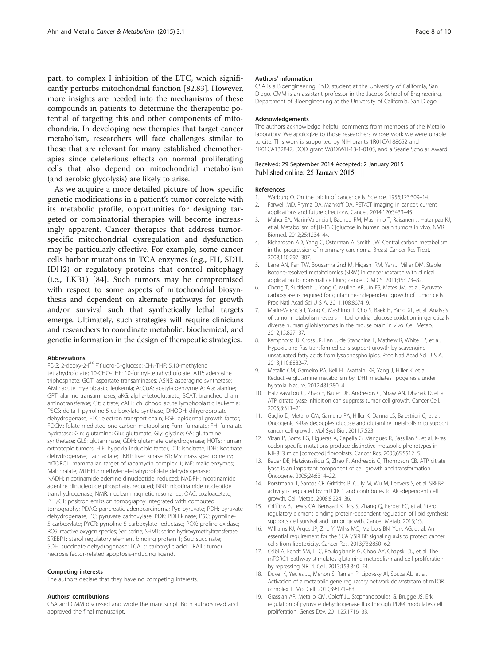<span id="page-7-0"></span>part, to complex I inhibition of the ETC, which significantly perturbs mitochondrial function [\[82,83](#page-9-0)]. However, more insights are needed into the mechanisms of these compounds in patients to determine the therapeutic potential of targeting this and other components of mitochondria. In developing new therapies that target cancer metabolism, researchers will face challenges similar to those that are relevant for many established chemotherapies since deleterious effects on normal proliferating cells that also depend on mitochondrial metabolism (and aerobic glycolysis) are likely to arise.

As we acquire a more detailed picture of how specific genetic modifications in a patient's tumor correlate with its metabolic profile, opportunities for designing targeted or combinatorial therapies will become increasingly apparent. Cancer therapies that address tumorspecific mitochondrial dysregulation and dysfunction may be particularly effective. For example, some cancer cells harbor mutations in TCA enzymes (e.g., FH, SDH, IDH2) or regulatory proteins that control mitophagy (i.e., LKB1) [\[84](#page-9-0)]. Such tumors may be compromised with respect to some aspects of mitochondrial biosynthesis and dependent on alternate pathways for growth and/or survival such that synthetically lethal targets emerge. Ultimately, such strategies will require clinicians and researchers to coordinate metabolic, biochemical, and genetic information in the design of therapeutic strategies.

#### **Abbreviations**

FDG: 2-deoxy-2-[<sup>18</sup> F]fluoro-D-glucose; CH<sub>2</sub>-THF: 5,10-methylene tetrahydrofolate; 10-CHO-THF: 10-formyl-tetrahydrofolate; ATP: adenosine triphosphate; GOT: aspartate transaminases; ASNS: asparagine synthetase; AML: acute myeloblastic leukemia; AcCoA: acetyl-coenzyme A; Ala: alanine; GPT: alanine transaminases; aKG: alpha-ketoglutarate; BCAT: branched chain aminotransferase; Cit: citrate; cALL: childhood acute lymphoblastic leukemia; P5CS: delta-1-pyrroline-5-carboxylate synthase; DHODH: dihydroorotate dehydrogenase; ETC: electron transport chain; EGF: epidermal growth factor; FOCM: folate-mediated one carbon metabolism; Fum: fumarate; FH: fumarate hydratase; Gln: glutamine; Glu: glutamate; Gly: glycine; GS: glutamine synthetase; GLS: glutaminase; GDH: glutamate dehydrogenase; HOTs: human orthotopic tumors; HIF: hypoxia inducible factor; ICT: isocitrate; IDH: isocitrate dehydrogenase; Lac: lactate; LKB1: liver kinase B1; MS: mass spectrometry; mTORC1: mammalian target of rapamycin complex 1; ME: malic enzymes; Mal: malate; MTHFD: methylenetetrahydrofolate dehydrogenase; NADH: nicotinamide adenine dinucleotide, reduced; NADPH: nicotinamide adenine dinucleotide phosphate, reduced; NNT: nicotinamide nucleotide transhydrogenase; NMR: nuclear magnetic resonance; OAC: oxaloacetate; PET/CT: positron emission tomography integrated with computed tomography; PDAC: pancreatic adenocarcinoma; Pyr: pyruvate; PDH: pyruvate dehydrogenase; PC: pyruvate carboxylase; PDK: PDH kinase; P5C: pyrroline-5-carboxylate; PYCR: pyrroline-5-carboxylate reductase; POX: proline oxidase; ROS: reactive oxygen species; Ser: serine; SHMT: serine hydroxymethyltransferase; SREBP1: sterol regulatory element binding protein 1; Suc: succinate; SDH: succinate dehydrogenase; TCA: tricarboxylic acid; TRAIL: tumor necrosis factor-related apoptosis-inducing ligand.

#### Competing interests

The authors declare that they have no competing interests.

#### Authors' contributions

CSA and CMM discussed and wrote the manuscript. Both authors read and approved the final manuscript.

#### Authors' information

CSA is a Bioengineering Ph.D. student at the University of California, San Diego. CMM is an assistant professor in the Jacobs School of Engineering, Department of Bioengineering at the University of California, San Diego.

#### Acknowledgements

The authors acknowledge helpful comments from members of the Metallo laboratory. We apologize to those researchers whose work we were unable to cite. This work is supported by NIH grants 1R01CA188652 and 1R01CA132847, DOD grant W81XWH-13-1-0105, and a Searle Scholar Award.

## Received: 29 September 2014 Accepted: 2 January 2015 Published online: 25 January 2015

#### References

- 1. Warburg O. On the origin of cancer cells. Science. 1956;123:309–14.
- 2. Farwell MD, Pryma DA, Mankoff DA. PET/CT imaging in cancer: current applications and future directions. Cancer. 2014;120:3433–45.
- 3. Maher EA, Marin-Valencia I, Bachoo RM, Mashimo T, Raisanen J, Hatanpaa KJ, et al. Metabolism of [U-13 C]glucose in human brain tumors in vivo. NMR Biomed. 2012;25:1234–44.
- 4. Richardson AD, Yang C, Osterman A, Smith JW. Central carbon metabolism in the progression of mammary carcinoma. Breast Cancer Res Treat. 2008;110:297–307.
- 5. Lane AN, Fan TW, Bousamra 2nd M, Higashi RM, Yan J, Miller DM. Stable isotope-resolved metabolomics (SIRM) in cancer research with clinical application to nonsmall cell lung cancer. OMICS. 2011;15:173–82.
- 6. Cheng T, Sudderth J, Yang C, Mullen AR, Jin ES, Mates JM, et al. Pyruvate carboxylase is required for glutamine-independent growth of tumor cells. Proc Natl Acad Sci U S A. 2011;108:8674–9.
- 7. Marin-Valencia I, Yang C, Mashimo T, Cho S, Baek H, Yang XL, et al. Analysis of tumor metabolism reveals mitochondrial glucose oxidation in genetically diverse human glioblastomas in the mouse brain in vivo. Cell Metab. 2012;15:827–37.
- 8. Kamphorst JJ, Cross JR, Fan J, de Stanchina E, Mathew R, White EP, et al. Hypoxic and Ras-transformed cells support growth by scavenging unsaturated fatty acids from lysophospholipids. Proc Natl Acad Sci U S A. 2013;110:8882–7.
- 9. Metallo CM, Gameiro PA, Bell EL, Mattaini KR, Yang J, Hiller K, et al. Reductive glutamine metabolism by IDH1 mediates lipogenesis under hypoxia. Nature. 2012;481:380–4.
- 10. Hatzivassiliou G, Zhao F, Bauer DE, Andreadis C, Shaw AN, Dhanak D, et al. ATP citrate lyase inhibition can suppress tumor cell growth. Cancer Cell. 2005;8:311–21.
- 11. Gaglio D, Metallo CM, Gameiro PA, Hiller K, Danna LS, Balestrieri C, et al. Oncogenic K-Ras decouples glucose and glutamine metabolism to support cancer cell growth. Mol Syst Biol. 2011;7:523.
- 12. Vizan P, Boros LG, Figueras A, Capella G, Mangues R, Bassilian S, et al. K-ras codon-specific mutations produce distinctive metabolic phenotypes in NIH3T3 mice [corrected] fibroblasts. Cancer Res. 2005;65:5512–5.
- 13. Bauer DE, Hatzivassiliou G, Zhao F, Andreadis C, Thompson CB. ATP citrate lyase is an important component of cell growth and transformation. Oncogene. 2005;24:6314–22.
- 14. Porstmann T, Santos CR, Griffiths B, Cully M, Wu M, Leevers S, et al. SREBP activity is regulated by mTORC1 and contributes to Akt-dependent cell growth. Cell Metab. 2008;8:224–36.
- 15. Griffiths B, Lewis CA, Bensaad K, Ros S, Zhang Q, Ferber EC, et al. Sterol regulatory element binding protein-dependent regulation of lipid synthesis supports cell survival and tumor growth. Cancer Metab. 2013;1:3.
- 16. Williams KJ, Argus JP, Zhu Y, Wilks MQ, Marbois BN, York AG, et al. An essential requirement for the SCAP/SREBP signaling axis to protect cancer cells from lipotoxicity. Cancer Res. 2013;73:2850–62.
- 17. Csibi A, Fendt SM, Li C, Poulogiannis G, Choo AY, Chapski DJ, et al. The mTORC1 pathway stimulates glutamine metabolism and cell proliferation by repressing SIRT4. Cell. 2013;153:840–54.
- 18. Duvel K, Yecies JL, Menon S, Raman P, Lipovsky AI, Souza AL, et al. Activation of a metabolic gene regulatory network downstream of mTOR complex 1. Mol Cell. 2010;39:171–83.
- 19. Grassian AR, Metallo CM, Coloff JL, Stephanopoulos G, Brugge JS. Erk regulation of pyruvate dehydrogenase flux through PDK4 modulates cell proliferation. Genes Dev. 2011;25:1716–33.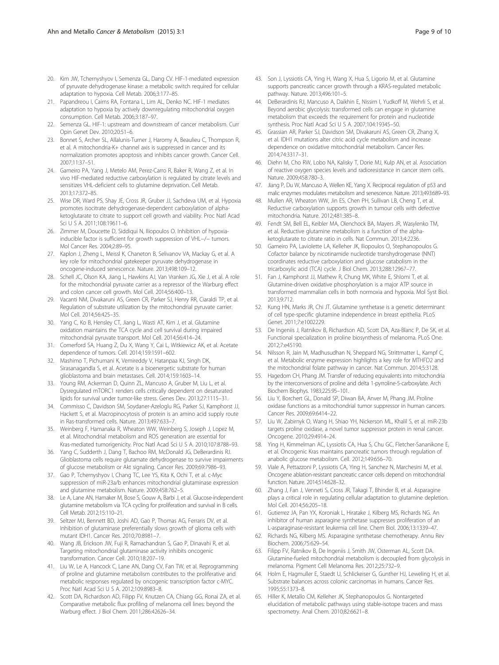- <span id="page-8-0"></span>20. Kim JW, Tchernyshyov I, Semenza GL, Dang CV. HIF-1-mediated expression of pyruvate dehydrogenase kinase: a metabolic switch required for cellular adaptation to hypoxia. Cell Metab. 2006;3:177–85.
- 21. Papandreou I, Cairns RA, Fontana L, Lim AL, Denko NC. HIF-1 mediates adaptation to hypoxia by actively downregulating mitochondrial oxygen consumption. Cell Metab. 2006;3:187–97.
- 22. Semenza GL. HIF-1: upstream and downstream of cancer metabolism. Curr Opin Genet Dev. 2010;20:51–6.
- 23. Bonnet S, Archer SL, Allalunis-Turner J, Haromy A, Beaulieu C, Thompson R, et al. A mitochondria-K+ channel axis is suppressed in cancer and its normalization promotes apoptosis and inhibits cancer growth. Cancer Cell. 2007;11:37–51.
- 24. Gameiro PA, Yang J, Metelo AM, Perez-Carro R, Baker R, Wang Z, et al. In vivo HIF-mediated reductive carboxylation is regulated by citrate levels and sensitizes VHL-deficient cells to glutamine deprivation. Cell Metab. 2013;17:372–85.
- 25. Wise DR, Ward PS, Shay JE, Cross JR, Gruber JJ, Sachdeva UM, et al. Hypoxia promotes isocitrate dehydrogenase-dependent carboxylation of alphaketoglutarate to citrate to support cell growth and viability. Proc Natl Acad Sci U S A. 2011;108:19611–6.
- 26. Zimmer M, Doucette D, Siddiqui N, Iliopoulos O. Inhibition of hypoxiainducible factor is sufficient for growth suppression of VHL−/− tumors. Mol Cancer Res. 2004;2:89–95.
- 27. Kaplon J, Zheng L, Meissl K, Chaneton B, Selivanov VA, Mackay G, et al. A key role for mitochondrial gatekeeper pyruvate dehydrogenase in oncogene-induced senescence. Nature. 2013;498:109–12.
- 28. Schell JC, Olson KA, Jiang L, Hawkins AJ, Van Vranken JG, Xie J, et al. A role for the mitochondrial pyruvate carrier as a repressor of the Warburg effect and colon cancer cell growth. Mol Cell. 2014;56:400–13.
- 29. Vacanti NM, Divakaruni AS, Green CR, Parker SJ, Henry RR, Ciaraldi TP, et al. Regulation of substrate utilization by the mitochondrial pyruvate carrier. Mol Cell. 2014;56:425–35.
- 30. Yang C, Ko B, Hensley CT, Jiang L, Wasti AT, Kim J, et al. Glutamine oxidation maintains the TCA cycle and cell survival during impaired mitochondrial pyruvate transport. Mol Cell. 2014;56:414–24.
- 31. Comerford SA, Huang Z, Du X, Wang Y, Cai L, Witkiewicz AK, et al. Acetate dependence of tumors. Cell. 2014;159:1591–602.
- 32. Mashimo T, Pichumani K, Vemireddy V, Hatanpaa KJ, Singh DK, Sirasanagandla S, et al. Acetate is a bioenergetic substrate for human glioblastoma and brain metastases. Cell. 2014;159:1603–14.
- 33. Young RM, Ackerman D, Quinn ZL, Mancuso A, Gruber M, Liu L, et al. Dysregulated mTORC1 renders cells critically dependent on desaturated lipids for survival under tumor-like stress. Genes Dev. 2013;27:1115–31.
- 34. Commisso C, Davidson SM, Soydaner-Azeloglu RG, Parker SJ, Kamphorst JJ, Hackett S, et al. Macropinocytosis of protein is an amino acid supply route in Ras-transformed cells. Nature. 2013;497:633–7.
- 35. Weinberg F, Hamanaka R, Wheaton WW, Weinberg S, Joseph J, Lopez M, et al. Mitochondrial metabolism and ROS generation are essential for Kras-mediated tumorigenicity. Proc Natl Acad Sci U S A. 2010;107:8788–93.
- 36. Yang C, Sudderth J, Dang T, Bachoo RM, McDonald JG, DeBerardinis RJ. Glioblastoma cells require glutamate dehydrogenase to survive impairments of glucose metabolism or Akt signaling. Cancer Res. 2009;69:7986–93.
- 37. Gao P, Tchernyshyov I, Chang TC, Lee YS, Kita K, Ochi T, et al. c-Myc suppression of miR-23a/b enhances mitochondrial glutaminase expression and glutamine metabolism. Nature. 2009;458:762–5.
- 38. Le A, Lane AN, Hamaker M, Bose S, Gouw A, Barbi J, et al. Glucose-independent glutamine metabolism via TCA cycling for proliferation and survival in B cells. Cell Metab. 2012;15:110–21.
- 39. Seltzer MJ, Bennett BD, Joshi AD, Gao P, Thomas AG, Ferraris DV, et al. Inhibition of glutaminase preferentially slows growth of glioma cells with mutant IDH1. Cancer Res. 2010;70:8981–7.
- 40. Wang JB, Erickson JW, Fuji R, Ramachandran S, Gao P, Dinavahi R, et al. Targeting mitochondrial glutaminase activity inhibits oncogenic transformation. Cancer Cell. 2010;18:207–19.
- 41. Liu W, Le A, Hancock C, Lane AN, Dang CV, Fan TW, et al. Reprogramming of proline and glutamine metabolism contributes to the proliferative and metabolic responses regulated by oncogenic transcription factor c-MYC. Proc Natl Acad Sci U S A. 2012;109:8983–8.
- 42. Scott DA, Richardson AD, Filipp FV, Knutzen CA, Chiang GG, Ronai ZA, et al. Comparative metabolic flux profiling of melanoma cell lines: beyond the Warburg effect. J Biol Chem. 2011;286:42626–34.
- 43. Son J, Lyssiotis CA, Ying H, Wang X, Hua S, Ligorio M, et al. Glutamine supports pancreatic cancer growth through a KRAS-regulated metabolic pathway. Nature. 2013;496:101–5.
- 44. DeBerardinis RJ, Mancuso A, Daikhin E, Nissim I, Yudkoff M, Wehrli S, et al. Beyond aerobic glycolysis: transformed cells can engage in glutamine metabolism that exceeds the requirement for protein and nucleotide synthesis. Proc Natl Acad Sci U S A. 2007;104:19345–50.
- 45. Grassian AR, Parker SJ, Davidson SM, Divakaruni AS, Green CR, Zhang X, et al. IDH1 mutations alter citric acid cycle metabolism and increase dependence on oxidative mitochondrial metabolism. Cancer Res. 2014;74:3317–31.
- 46. Diehn M, Cho RW, Lobo NA, Kalisky T, Dorie MJ, Kulp AN, et al. Association of reactive oxygen species levels and radioresistance in cancer stem cells. Nature. 2009;458:780–3.
- 47. Jiang P, Du W, Mancuso A, Wellen KE, Yang X. Reciprocal regulation of p53 and malic enzymes modulates metabolism and senescence. Nature. 2013;493:689–93.
- 48. Mullen AR, Wheaton WW, Jin ES, Chen PH, Sullivan LB, Cheng T, et al. Reductive carboxylation supports growth in tumour cells with defective mitochondria. Nature. 2012;481:385–8.
- 49. Fendt SM, Bell EL, Keibler MA, Olenchock BA, Mayers JR, Wasylenko TM, et al. Reductive glutamine metabolism is a function of the alphaketoglutarate to citrate ratio in cells. Nat Commun. 2013;4:2236.
- 50. Gameiro PA, Laviolette LA, Kelleher JK, Iliopoulos O, Stephanopoulos G. Cofactor balance by nicotinamide nucleotide transhydrogenase (NNT) coordinates reductive carboxylation and glucose catabolism in the tricarboxylic acid (TCA) cycle. J Biol Chem. 2013;288:12967–77.
- 51. Fan J, Kamphorst JJ, Mathew R, Chung MK, White E, Shlomi T, et al. Glutamine-driven oxidative phosphorylation is a major ATP source in transformed mammalian cells in both normoxia and hypoxia. Mol Syst Biol. 2013;9:712.
- 52. Kung HN, Marks JR, Chi JT. Glutamine synthetase is a genetic determinant of cell type-specific glutamine independence in breast epithelia. PLoS Genet. 2011;7:e1002229.
- 53. De Ingeniis J, Ratnikov B, Richardson AD, Scott DA, Aza-Blanc P, De SK, et al. Functional specialization in proline biosynthesis of melanoma. PLoS One. 2012;7:e45190.
- 54. Nilsson R, Jain M, Madhusudhan N, Sheppard NG, Strittmatter L, Kampf C, et al. Metabolic enzyme expression highlights a key role for MTHFD2 and the mitochondrial folate pathway in cancer. Nat Commun. 2014;5:3128.
- 55. Hagedorn CH, Phang JM. Transfer of reducing equivalents into mitochondria by the interconversions of proline and delta 1-pyrroline-5-carboxylate. Arch Biochem Biophys. 1983;225:95–101.
- 56. Liu Y, Borchert GL, Donald SP, Diwan BA, Anver M, Phang JM. Proline oxidase functions as a mitochondrial tumor suppressor in human cancers. Cancer Res. 2009;69:6414–22.
- 57. Liu W, Zabirnyk O, Wang H, Shiao YH, Nickerson ML, Khalil S, et al. miR-23b targets proline oxidase, a novel tumor suppressor protein in renal cancer. Oncogene. 2010;29:4914–24.
- 58. Ying H, Kimmelman AC, Lyssiotis CA, Hua S, Chu GC, Fletcher-Sananikone E, et al. Oncogenic Kras maintains pancreatic tumors through regulation of anabolic glucose metabolism. Cell. 2012;149:656–70.
- 59. Viale A, Pettazzoni P, Lyssiotis CA, Ying H, Sanchez N, Marchesini M, et al. Oncogene ablation-resistant pancreatic cancer cells depend on mitochondrial function. Nature. 2014;514:628–32.
- 60. Zhang J, Fan J, Venneti S, Cross JR, Takagi T, Bhinder B, et al. Asparagine plays a critical role in regulating cellular adaptation to glutamine depletion. Mol Cell. 2014;56:205–18.
- 61. Gutierrez JA, Pan YX, Koroniak L, Hiratake J, Kilberg MS, Richards NG. An inhibitor of human asparagine synthetase suppresses proliferation of an L-asparaginase-resistant leukemia cell line. Chem Biol. 2006;13:1339–47.
- 62. Richards NG, Kilberg MS. Asparagine synthetase chemotherapy. Annu Rev Biochem. 2006;75:629–54.
- 63. Filipp FV, Ratnikov B, De Ingeniis J, Smith JW, Osterman AL, Scott DA. Glutamine-fueled mitochondrial metabolism is decoupled from glycolysis in melanoma. Pigment Cell Melanoma Res. 2012;25:732–9.
- 64. Holm E, Hagmuller E, Staedt U, Schlickeiser G, Gunther HJ, Leweling H, et al. Substrate balances across colonic carcinomas in humans. Cancer Res. 1995;55:1373–8.
- 65. Hiller K, Metallo CM, Kelleher JK, Stephanopoulos G. Nontargeted elucidation of metabolic pathways using stable-isotope tracers and mass spectrometry. Anal Chem. 2010;82:6621–8.